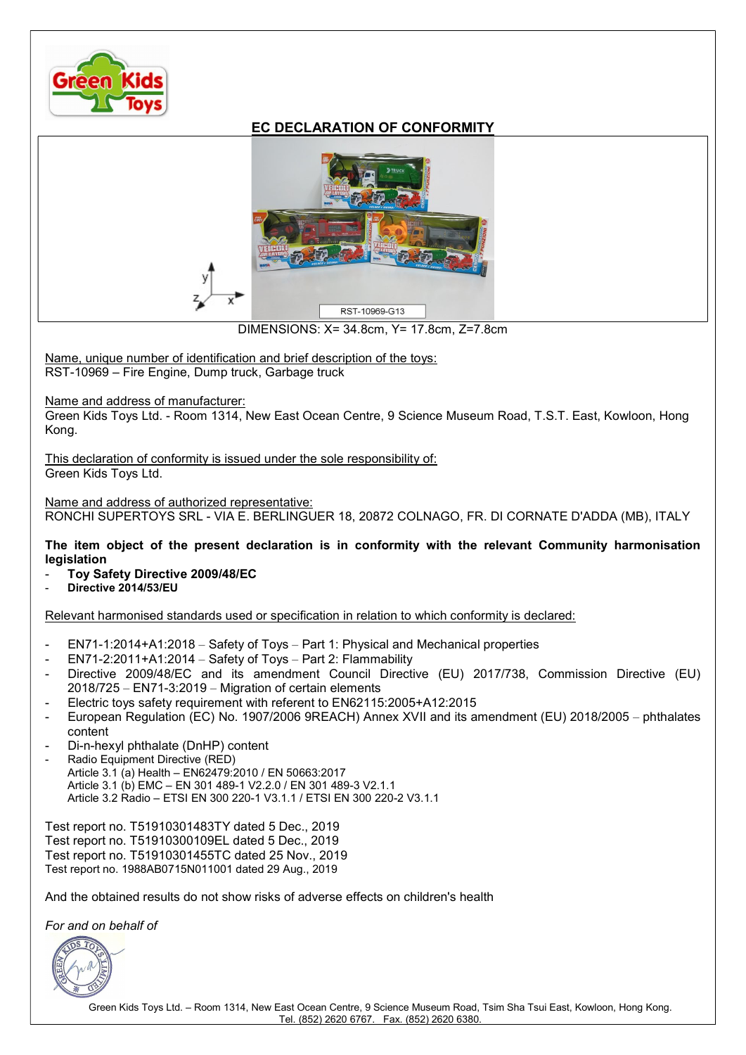

## EC DECLARATION OF CONFORMITY



DIMENSIONS: X= 34.8cm, Y= 17.8cm, Z=7.8cm

Name, unique number of identification and brief description of the toys: RST-10969 – Fire Engine, Dump truck, Garbage truck

Name and address of manufacturer:

Green Kids Toys Ltd. - Room 1314, New East Ocean Centre, 9 Science Museum Road, T.S.T. East, Kowloon, Hong Kong.

This declaration of conformity is issued under the sole responsibility of: Green Kids Toys Ltd.

Name and address of authorized representative: RONCHI SUPERTOYS SRL - VIA E. BERLINGUER 18, 20872 COLNAGO, FR. DI CORNATE D'ADDA (MB), ITALY

The item object of the present declaration is in conformity with the relevant Community harmonisation **legislation** 

- Toy Safety Directive 2009/48/EC
- Directive 2014/53/EU

Relevant harmonised standards used or specification in relation to which conformity is declared:

- EN71-1:2014+A1:2018 Safety of Toys Part 1: Physical and Mechanical properties
- EN71-2:2011+A1:2014 Safety of Toys Part 2: Flammability
- Directive 2009/48/EC and its amendment Council Directive (EU) 2017/738, Commission Directive (EU) 2018/725 – EN71-3:2019 – Migration of certain elements
- Electric toys safety requirement with referent to EN62115:2005+A12:2015
- European Regulation (EC) No. 1907/2006 9REACH) Annex XVII and its amendment (EU) 2018/2005 phthalates content
- Di-n-hexyl phthalate (DnHP) content
- Radio Equipment Directive (RED) Article 3.1 (a) Health – EN62479:2010 / EN 50663:2017 Article 3.1 (b) EMC – EN 301 489-1 V2.2.0 / EN 301 489-3 V2.1.1 Article 3.2 Radio – ETSI EN 300 220-1 V3.1.1 / ETSI EN 300 220-2 V3.1.1

Test report no. T51910301483TY dated 5 Dec., 2019 Test report no. T51910300109EL dated 5 Dec., 2019 Test report no. T51910301455TC dated 25 Nov., 2019 Test report no. 1988AB0715N011001 dated 29 Aug., 2019

And the obtained results do not show risks of adverse effects on children's health

For and on behalf of